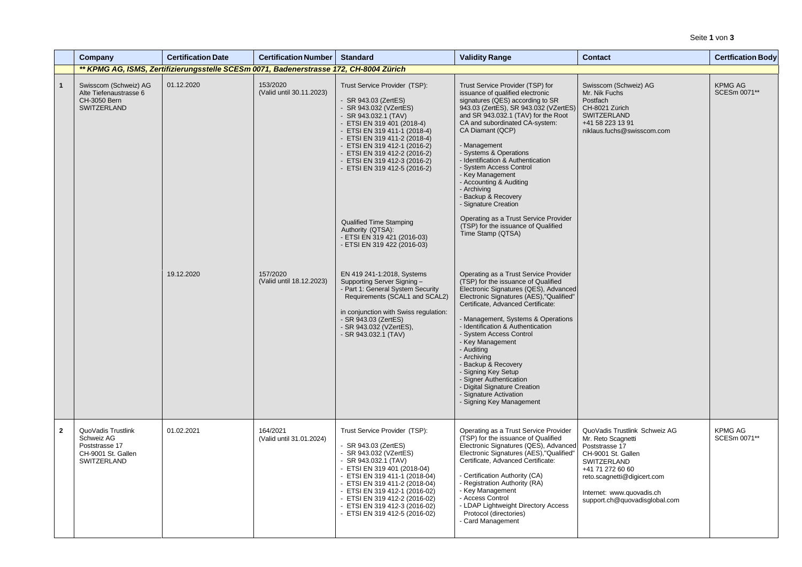Seite **1** von **3**

|              | Company                                                                                 | <b>Certification Date</b>                                                              | <b>Certification Number</b>          | <b>Standard</b>                                                                                                                                                                                                                                                                                                                              | <b>Validity Range</b>                                                                                                                                                                                                                                                                                                                                                                                                                                                                                                         | <b>Contact</b>                                                                                                                                                                                                              | <b>Certfication Body</b>       |
|--------------|-----------------------------------------------------------------------------------------|----------------------------------------------------------------------------------------|--------------------------------------|----------------------------------------------------------------------------------------------------------------------------------------------------------------------------------------------------------------------------------------------------------------------------------------------------------------------------------------------|-------------------------------------------------------------------------------------------------------------------------------------------------------------------------------------------------------------------------------------------------------------------------------------------------------------------------------------------------------------------------------------------------------------------------------------------------------------------------------------------------------------------------------|-----------------------------------------------------------------------------------------------------------------------------------------------------------------------------------------------------------------------------|--------------------------------|
|              |                                                                                         | ** KPMG AG, ISMS, Zertifizierungsstelle SCESm 0071, Badenerstrasse 172, CH-8004 Zürich |                                      |                                                                                                                                                                                                                                                                                                                                              |                                                                                                                                                                                                                                                                                                                                                                                                                                                                                                                               |                                                                                                                                                                                                                             |                                |
| $\mathbf{1}$ | Swisscom (Schweiz) AG<br>Alte Tiefenaustrasse 6<br>CH-3050 Bern<br><b>SWITZERLAND</b>   | 01.12.2020                                                                             | 153/2020<br>(Valid until 30.11.2023) | Trust Service Provider (TSP):<br>- SR 943.03 (ZertES)<br>- SR 943.032 (VZertES)<br>- SR 943.032.1 (TAV)<br>- ETSI EN 319 401 (2018-4)<br>- ETSI EN 319 411-1 (2018-4)<br>- ETSI EN 319 411-2 (2018-4)<br>- ETSI EN 319 412-1 (2016-2)<br>- ETSI EN 319 412-2 (2016-2)<br>- ETSI EN 319 412-3 (2016-2)<br>- ETSI EN 319 412-5 (2016-2)        | Trust Service Provider (TSP) for<br>issuance of qualified electronic<br>signatures (QES) according to SR<br>943.03 (ZertES), SR 943.032 (VZertES)<br>and SR 943.032.1 (TAV) for the Root<br>CA and subordinated CA-system:<br>CA Diamant (QCP)<br>- Management<br>- Systems & Operations<br>- Identification & Authentication<br>- System Access Control<br>- Key Management<br>- Accounting & Auditing<br>- Archiving<br>- Backup & Recovery<br>- Signature Creation                                                         | Swisscom (Schweiz) AG<br>Mr. Nik Fuchs<br>Postfach<br>CH-8021 Zürich<br>SWITZERLAND<br>+41 58 223 13 91<br>niklaus.fuchs@swisscom.com                                                                                       | <b>KPMG AG</b><br>SCESm 0071** |
|              |                                                                                         |                                                                                        |                                      | <b>Qualified Time Stamping</b><br>Authority (QTSA):<br>- ETSI EN 319 421 (2016-03)<br>- ETSI EN 319 422 (2016-03)                                                                                                                                                                                                                            | Operating as a Trust Service Provider<br>(TSP) for the issuance of Qualified<br>Time Stamp (QTSA)                                                                                                                                                                                                                                                                                                                                                                                                                             |                                                                                                                                                                                                                             |                                |
|              |                                                                                         | 19.12.2020                                                                             | 157/2020<br>(Valid until 18.12.2023) | EN 419 241-1:2018, Systems<br>Supporting Server Signing -<br>- Part 1: General System Security<br>Requirements (SCAL1 and SCAL2)<br>in conjunction with Swiss regulation:<br>- SR 943.03 (ZertES)<br>- SR 943.032 (VZertES),<br>- SR 943.032.1 (TAV)                                                                                         | Operating as a Trust Service Provider<br>(TSP) for the issuance of Qualified<br>Electronic Signatures (QES), Advanced<br>Electronic Signatures (AES), "Qualified"<br>Certificate, Advanced Certificate:<br>- Management, Systems & Operations<br>- Identification & Authentication<br>- System Access Control<br>- Key Management<br>- Auditing<br>- Archiving<br>- Backup & Recovery<br>- Signing Key Setup<br>- Signer Authentication<br>- Digital Signature Creation<br>- Signature Activation<br>- Signing Key Management |                                                                                                                                                                                                                             |                                |
| $\mathbf{2}$ | QuoVadis Trustlink<br>Schweiz AG<br>Poststrasse 17<br>CH-9001 St. Gallen<br>SWITZERLAND | 01.02.2021                                                                             | 164/2021<br>(Valid until 31.01.2024) | Trust Service Provider (TSP):<br>- SR 943.03 (ZertES)<br>- SR 943.032 (VZertES)<br>- SR 943.032.1 (TAV)<br>- ETSI EN 319 401 (2018-04)<br>- ETSI EN 319 411-1 (2018-04)<br>- ETSI EN 319 411-2 (2018-04)<br>- ETSI EN 319 412-1 (2016-02)<br>- ETSI EN 319 412-2 (2016-02)<br>- ETSI EN 319 412-3 (2016-02)<br>- ETSI EN 319 412-5 (2016-02) | Operating as a Trust Service Provider<br>(TSP) for the issuance of Qualified<br>Electronic Signatures (QES), Advanced<br>Electronic Signatures (AES), "Qualified"<br>Certificate, Advanced Certificate:<br>- Certification Authority (CA)<br>- Registration Authority (RA)<br>- Key Management<br>- Access Control<br>- LDAP Lightweight Directory Access<br>Protocol (directories)<br>- Card Management                                                                                                                      | QuoVadis Trustlink Schweiz AG<br>Mr. Reto Scagnetti<br>Poststrasse 17<br>CH-9001 St. Gallen<br>SWITZERLAND<br>+41 71 272 60 60<br>reto.scagnetti@digicert.com<br>Internet: www.quovadis.ch<br>support.ch@quovadisglobal.com | <b>KPMG AG</b><br>SCESm 0071** |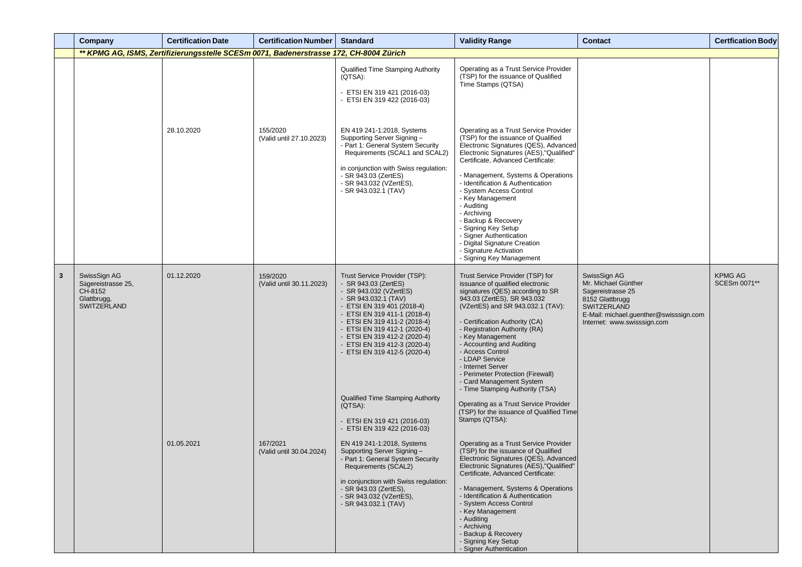|   | <b>Company</b>                                                              | <b>Certification Date</b>                                                              | <b>Certification Number</b>          | <b>Standard</b>                                                                                                                                                                                                                                                                                                                                                                                                                                            | <b>Validity Range</b>                                                                                                                                                                                                                                                                                                                                                                                                                                                                                                                                                | <b>Contact</b>                                                                                                                                                             | <b>Certfication Body</b>       |
|---|-----------------------------------------------------------------------------|----------------------------------------------------------------------------------------|--------------------------------------|------------------------------------------------------------------------------------------------------------------------------------------------------------------------------------------------------------------------------------------------------------------------------------------------------------------------------------------------------------------------------------------------------------------------------------------------------------|----------------------------------------------------------------------------------------------------------------------------------------------------------------------------------------------------------------------------------------------------------------------------------------------------------------------------------------------------------------------------------------------------------------------------------------------------------------------------------------------------------------------------------------------------------------------|----------------------------------------------------------------------------------------------------------------------------------------------------------------------------|--------------------------------|
|   |                                                                             | ** KPMG AG, ISMS, Zertifizierungsstelle SCESm 0071, Badenerstrasse 172, CH-8004 Zürich |                                      |                                                                                                                                                                                                                                                                                                                                                                                                                                                            |                                                                                                                                                                                                                                                                                                                                                                                                                                                                                                                                                                      |                                                                                                                                                                            |                                |
|   |                                                                             |                                                                                        |                                      | <b>Qualified Time Stamping Authority</b><br>(QTSA):<br>- ETSI EN 319 421 (2016-03)<br>- ETSI EN 319 422 (2016-03)                                                                                                                                                                                                                                                                                                                                          | Operating as a Trust Service Provider<br>(TSP) for the issuance of Qualified<br>Time Stamps (QTSA)                                                                                                                                                                                                                                                                                                                                                                                                                                                                   |                                                                                                                                                                            |                                |
|   |                                                                             | 28.10.2020                                                                             | 155/2020<br>(Valid until 27.10.2023) | EN 419 241-1:2018, Systems<br>Supporting Server Signing -<br>- Part 1: General System Security<br>Requirements (SCAL1 and SCAL2)<br>in conjunction with Swiss regulation:<br>- SR 943.03 (ZertES)<br>- SR 943.032 (VZertES),<br>- SR 943.032.1 (TAV)                                                                                                                                                                                                       | Operating as a Trust Service Provider<br>(TSP) for the issuance of Qualified<br>Electronic Signatures (QES), Advanced<br>Electronic Signatures (AES), "Qualified"<br>Certificate, Advanced Certificate:<br>- Management, Systems & Operations<br>- Identification & Authentication<br>- System Access Control<br>- Key Management<br>- Auditing<br>- Archiving<br>- Backup & Recovery<br>- Signing Key Setup<br>- Signer Authentication<br>- Digital Signature Creation<br>- Signature Activation<br>- Signing Key Management                                        |                                                                                                                                                                            |                                |
| 3 | SwissSign AG<br>Sägereistrasse 25,<br>CH-8152<br>Glattbrugg,<br>SWITZERLAND | 01.12.2020                                                                             | 159/2020<br>(Valid until 30.11.2023) | Trust Service Provider (TSP):<br>- SR 943.03 (ZertES)<br>- SR 943.032 (VZertES)<br>- SR 943.032.1 (TAV)<br>- ETSI EN 319 401 (2018-4)<br>- ETSI EN 319 411-1 (2018-4)<br>- ETSI EN 319 411-2 (2018-4)<br>- ETSI EN 319 412-1 (2020-4)<br>- ETSI EN 319 412-2 (2020-4)<br>- ETSI EN 319 412-3 (2020-4)<br>- ETSI EN 319 412-5 (2020-4)<br><b>Qualified Time Stamping Authority</b><br>(QTSA):<br>- ETSI EN 319 421 (2016-03)<br>- ETSI EN 319 422 (2016-03) | Trust Service Provider (TSP) for<br>issuance of qualified electronic<br>signatures (QES) according to SR<br>943.03 (ZertES), SR 943.032<br>(VZertES) and SR 943.032.1 (TAV):<br>Certification Authority (CA)<br>- Registration Authority (RA)<br>- Key Management<br>- Accounting and Auditing<br>- Access Control<br>- LDAP Service<br>- Internet Server<br>- Perimeter Protection (Firewall)<br>- Card Management System<br>- Time Stamping Authority (TSA)<br>Operating as a Trust Service Provider<br>(TSP) for the issuance of Qualified Time<br>Stamps (QTSA): | SwissSign AG<br>Mr. Michael Günther<br>Sägereistrasse 25<br>8152 Glattbrugg<br><b>SWITZERLAND</b><br>E-Mail: michael.guenther@swisssign.com<br>Internet: www.swisssign.com | <b>KPMG AG</b><br>SCESm 0071** |
|   |                                                                             | 01.05.2021                                                                             | 167/2021<br>(Valid until 30.04.2024) | EN 419 241-1:2018, Systems<br>Supporting Server Signing -<br>- Part 1: General System Security<br>Requirements (SCAL2)<br>in conjunction with Swiss regulation:<br>- SR 943.03 (ZertES),<br>- SR 943.032 (VZertES),<br>- SR 943.032.1 (TAV)                                                                                                                                                                                                                | Operating as a Trust Service Provider<br>(TSP) for the issuance of Qualified<br>Electronic Signatures (QES), Advanced<br>Electronic Signatures (AES), "Qualified"<br>Certificate, Advanced Certificate:<br>- Management, Systems & Operations<br>- Identification & Authentication<br>- System Access Control<br>- Key Management<br>- Auditing<br>- Archiving<br>- Backup & Recovery<br>- Signing Key Setup<br>- Signer Authentication                                                                                                                              |                                                                                                                                                                            |                                |